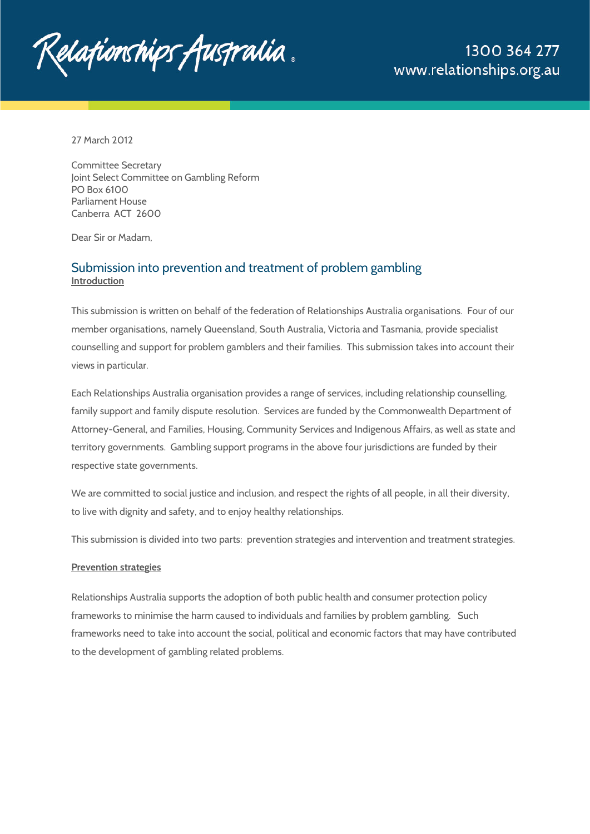

27 March 2012

Committee Secretary Joint Select Committee on Gambling Reform PO Box 6100 Parliament House Canberra ACT 2600

Dear Sir or Madam,

## Submission into prevention and treatment of problem gambling **Introduction**

This submission is written on behalf of the federation of Relationships Australia organisations. Four of our member organisations, namely Queensland, South Australia, Victoria and Tasmania, provide specialist counselling and support for problem gamblers and their families. This submission takes into account their views in particular.

Each Relationships Australia organisation provides a range of services, including relationship counselling, family support and family dispute resolution. Services are funded by the Commonwealth Department of Attorney-General, and Families, Housing, Community Services and Indigenous Affairs, as well as state and territory governments. Gambling support programs in the above four jurisdictions are funded by their respective state governments.

We are committed to social justice and inclusion, and respect the rights of all people, in all their diversity, to live with dignity and safety, and to enjoy healthy relationships.

This submission is divided into two parts: prevention strategies and intervention and treatment strategies.

#### **Prevention strategies**

Relationships Australia supports the adoption of both public health and consumer protection policy frameworks to minimise the harm caused to individuals and families by problem gambling. Such frameworks need to take into account the social, political and economic factors that may have contributed to the development of gambling related problems.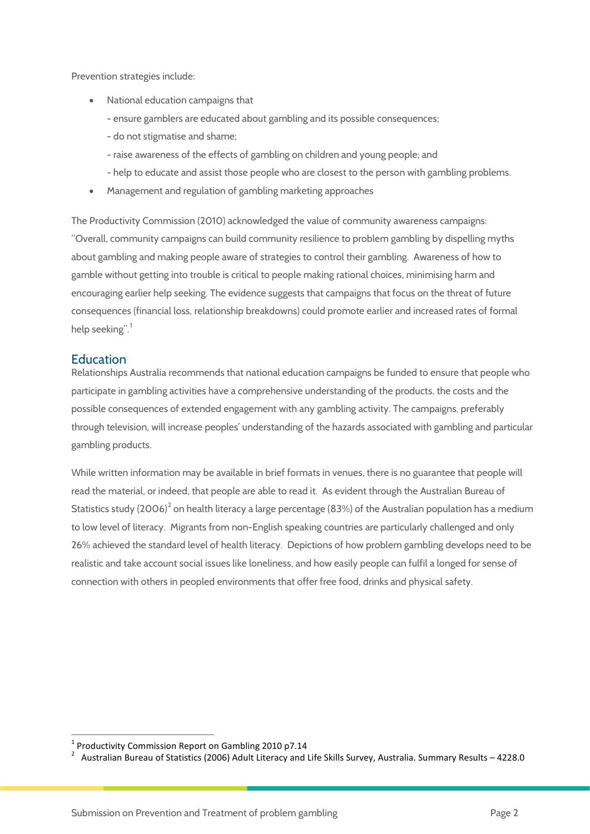Prevention strategies include:

- National education campaigns that
	- ensure gamblers are educated about gambling and its possible consequences;
	- do not stigmatise and shame;
	- raise awareness of the effects of gambling on children and young people; and
	- help to educate and assist those people who are closest to the person with gambling problems.
- Management and regulation of gambling marketing approaches

The Productivity Commission (2010) acknowledged the value of community awareness campaigns: "Overall, community campaigns can build community resilience to problem gambling by dispelling myths about gambling and making people aware of strategies to control their gambling. Awareness of how to gamble without getting into trouble is critical to people making rational choices, minimising harm and encouraging earlier help seeking. The evidence suggests that campaigns that focus on the threat of future consequences (financial loss, relationship breakdowns) could promote earlier and increased rates of formal help seeking". [1](#page-1-0)

#### **Education**

.

Relationships Australia recommends that national education campaigns be funded to ensure that people who participate in gambling activities have a comprehensive understanding of the products, the costs and the possible consequences of extended engagement with any gambling activity. The campaigns, preferably through television, will increase peoples' understanding of the hazards associated with gambling and particular gambling products.

While written information may be available in brief formats in venues, there is no guarantee that people will read the material, or indeed, that people are able to read it. As evident through the Australian Bureau of Statistics study ([2](#page-1-1)006)<sup>2</sup> on health literacy a large percentage (83%) of the Australian population has a medium to low level of literacy. Migrants from non-English speaking countries are particularly challenged and only 26% achieved the standard level of health literacy. Depictions of how problem gambling develops need to be realistic and take account social issues like loneliness, and how easily people can fulfil a longed for sense of connection with others in peopled environments that offer free food, drinks and physical safety.

 $1$  Productivity Commission Report on Gambling 2010 p7.14

<span id="page-1-1"></span><span id="page-1-0"></span>Australian Bureau of Statistics (2006) Adult Literacy and Life Skills Survey, Australia. Summary Results – 4228.0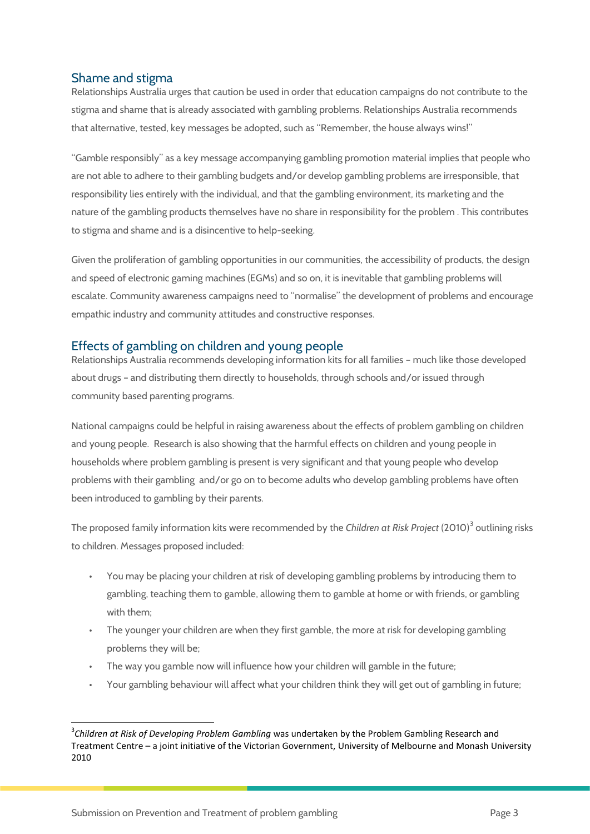## Shame and stigma

Relationships Australia urges that caution be used in order that education campaigns do not contribute to the stigma and shame that is already associated with gambling problems. Relationships Australia recommends that alternative, tested, key messages be adopted, such as "Remember, the house always wins!"

"Gamble responsibly" as a key message accompanying gambling promotion material implies that people who are not able to adhere to their gambling budgets and/or develop gambling problems are irresponsible, that responsibility lies entirely with the individual, and that the gambling environment, its marketing and the nature of the gambling products themselves have no share in responsibility for the problem . This contributes to stigma and shame and is a disincentive to help-seeking.

Given the proliferation of gambling opportunities in our communities, the accessibility of products, the design and speed of electronic gaming machines (EGMs) and so on, it is inevitable that gambling problems will escalate. Community awareness campaigns need to "normalise" the development of problems and encourage empathic industry and community attitudes and constructive responses.

## Effects of gambling on children and young people

Relationships Australia recommends developing information kits for all families – much like those developed about drugs – and distributing them directly to households, through schools and/or issued through community based parenting programs.

National campaigns could be helpful in raising awareness about the effects of problem gambling on children and young people. Research is also showing that the harmful effects on children and young people in households where problem gambling is present is very significant and that young people who develop problems with their gambling and/or go on to become adults who develop gambling problems have often been introduced to gambling by their parents.

The proposed family information kits were recommended by the *Children at Risk Project* (2010)<sup>[3](#page-2-0)</sup> outlining risks to children. Messages proposed included:

- You may be placing your children at risk of developing gambling problems by introducing them to gambling, teaching them to gamble, allowing them to gamble at home or with friends, or gambling with them;
- The younger your children are when they first gamble, the more at risk for developing gambling problems they will be;
- The way you gamble now will influence how your children will gamble in the future;
- Your gambling behaviour will affect what your children think they will get out of gambling in future;

<span id="page-2-0"></span><sup>—&</sup>lt;br>3 <sup>3</sup>Children at Risk of Developing Problem Gambling was undertaken by the Problem Gambling Research and Treatment Centre – a joint initiative of the Victorian Government, University of Melbourne and Monash University 2010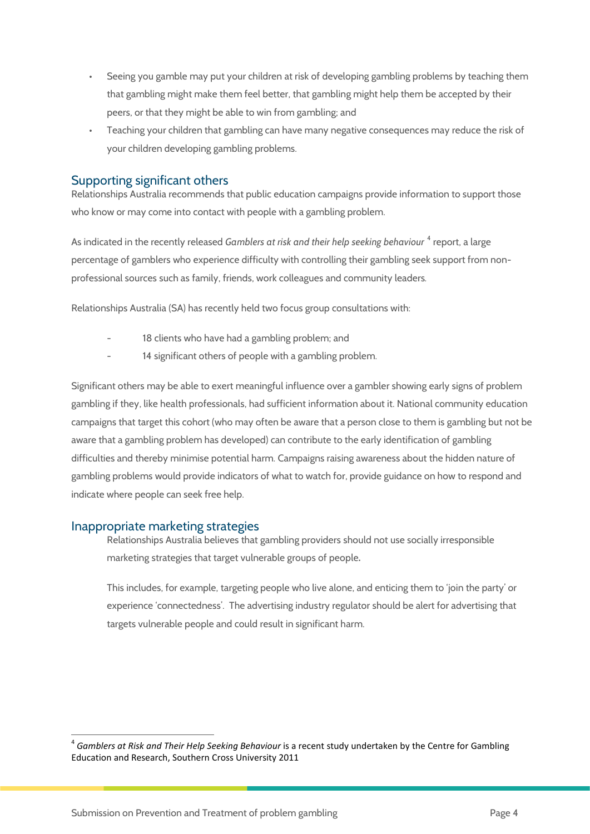- Seeing you gamble may put your children at risk of developing gambling problems by teaching them that gambling might make them feel better, that gambling might help them be accepted by their peers, or that they might be able to win from gambling; and
- Teaching your children that gambling can have many negative consequences may reduce the risk of your children developing gambling problems.

## Supporting significant others

Relationships Australia recommends that public education campaigns provide information to support those who know or may come into contact with people with a gambling problem.

As indicated in the recently released *Gamblers at risk and their help seeking behaviour*<sup>[4](#page-3-0)</sup> report, a large percentage of gamblers who experience difficulty with controlling their gambling seek support from nonprofessional sources such as family, friends, work colleagues and community leaders*.* 

Relationships Australia (SA) has recently held two focus group consultations with:

- 18 clients who have had a gambling problem; and
- 14 significant others of people with a gambling problem.

Significant others may be able to exert meaningful influence over a gambler showing early signs of problem gambling if they, like health professionals, had sufficient information about it. National community education campaigns that target this cohort (who may often be aware that a person close to them is gambling but not be aware that a gambling problem has developed) can contribute to the early identification of gambling difficulties and thereby minimise potential harm. Campaigns raising awareness about the hidden nature of gambling problems would provide indicators of what to watch for, provide guidance on how to respond and indicate where people can seek free help.

### Inappropriate marketing strategies

.

Relationships Australia believes that gambling providers should not use socially irresponsible marketing strategies that target vulnerable groups of people**.** 

This includes, for example, targeting people who live alone, and enticing them to 'join the party' or experience 'connectedness'. The advertising industry regulator should be alert for advertising that targets vulnerable people and could result in significant harm.

<span id="page-3-0"></span><sup>4</sup> *Gamblers at Risk and Their Help Seeking Behaviour* is a recent study undertaken by the Centre for Gambling Education and Research, Southern Cross University 2011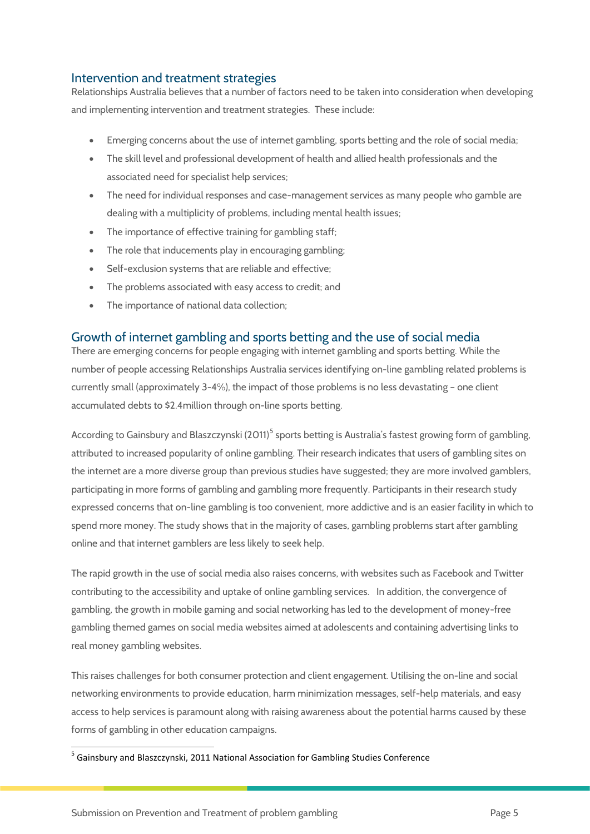## Intervention and treatment strategies

Relationships Australia believes that a number of factors need to be taken into consideration when developing and implementing intervention and treatment strategies. These include:

- Emerging concerns about the use of internet gambling, sports betting and the role of social media;
- The skill level and professional development of health and allied health professionals and the associated need for specialist help services;
- The need for individual responses and case-management services as many people who gamble are dealing with a multiplicity of problems, including mental health issues;
- The importance of effective training for gambling staff;
- The role that inducements play in encouraging gambling;
- Self-exclusion systems that are reliable and effective;
- The problems associated with easy access to credit; and
- The importance of national data collection;

## Growth of internet gambling and sports betting and the use of social media

There are emerging concerns for people engaging with internet gambling and sports betting. While the number of people accessing Relationships Australia services identifying on-line gambling related problems is currently small (approximately 3-4%), the impact of those problems is no less devastating – one client accumulated debts to \$2.4million through on-line sports betting.

According to Gainsbury and Blaszczynski (2011)<sup>[5](#page-4-0)</sup> sports betting is Australia's fastest growing form of gambling, attributed to increased popularity of online gambling. Their research indicates that users of gambling sites on the internet are a more diverse group than previous studies have suggested; they are more involved gamblers, participating in more forms of gambling and gambling more frequently. Participants in their research study expressed concerns that on-line gambling is too convenient, more addictive and is an easier facility in which to spend more money. The study shows that in the majority of cases, gambling problems start after gambling online and that internet gamblers are less likely to seek help.

The rapid growth in the use of social media also raises concerns, with websites such as Facebook and Twitter contributing to the accessibility and uptake of online gambling services. In addition, the convergence of gambling, the growth in mobile gaming and social networking has led to the development of money-free gambling themed games on social media websites aimed at adolescents and containing advertising links to real money gambling websites.

This raises challenges for both consumer protection and client engagement. Utilising the on-line and social networking environments to provide education, harm minimization messages, self-help materials, and easy access to help services is paramount along with raising awareness about the potential harms caused by these forms of gambling in other education campaigns.

<span id="page-4-0"></span><sup>5</sup> Gainsbury and Blaszczynski, 2011 National Association for Gambling Studies Conference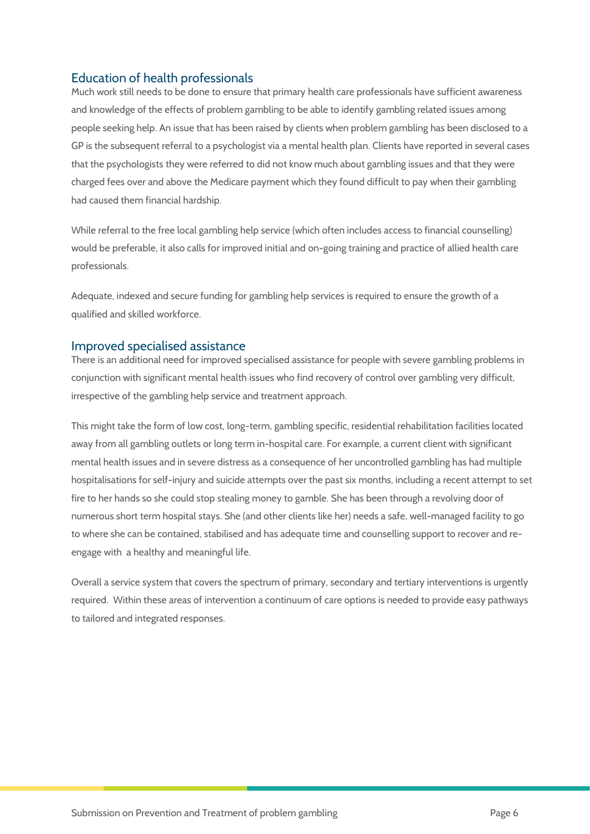# Education of health professionals

Much work still needs to be done to ensure that primary health care professionals have sufficient awareness and knowledge of the effects of problem gambling to be able to identify gambling related issues among people seeking help. An issue that has been raised by clients when problem gambling has been disclosed to a GP is the subsequent referral to a psychologist via a mental health plan. Clients have reported in several cases that the psychologists they were referred to did not know much about gambling issues and that they were charged fees over and above the Medicare payment which they found difficult to pay when their gambling had caused them financial hardship.

While referral to the free local gambling help service (which often includes access to financial counselling) would be preferable, it also calls for improved initial and on-going training and practice of allied health care professionals.

Adequate, indexed and secure funding for gambling help services is required to ensure the growth of a qualified and skilled workforce.

### Improved specialised assistance

There is an additional need for improved specialised assistance for people with severe gambling problems in conjunction with significant mental health issues who find recovery of control over gambling very difficult, irrespective of the gambling help service and treatment approach.

This might take the form of low cost, long-term, gambling specific, residential rehabilitation facilities located away from all gambling outlets or long term in-hospital care. For example, a current client with significant mental health issues and in severe distress as a consequence of her uncontrolled gambling has had multiple hospitalisations for self-injury and suicide attempts over the past six months, including a recent attempt to set fire to her hands so she could stop stealing money to gamble. She has been through a revolving door of numerous short term hospital stays. She (and other clients like her) needs a safe, well-managed facility to go to where she can be contained, stabilised and has adequate time and counselling support to recover and reengage with a healthy and meaningful life.

Overall a service system that covers the spectrum of primary, secondary and tertiary interventions is urgently required. Within these areas of intervention a continuum of care options is needed to provide easy pathways to tailored and integrated responses.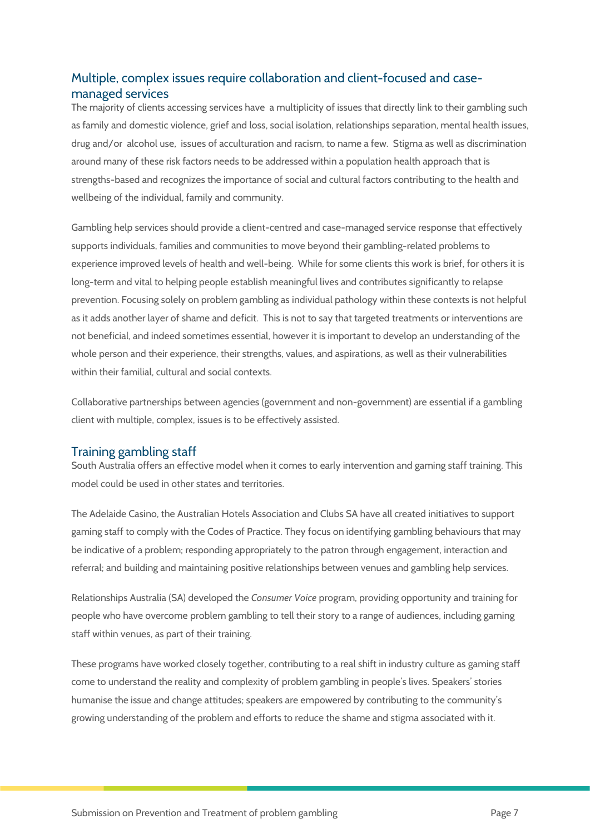# Multiple, complex issues require collaboration and client-focused and casemanaged services

The majority of clients accessing services have a multiplicity of issues that directly link to their gambling such as family and domestic violence, grief and loss, social isolation, relationships separation, mental health issues, drug and/or alcohol use, issues of acculturation and racism, to name a few. Stigma as well as discrimination around many of these risk factors needs to be addressed within a population health approach that is strengths-based and recognizes the importance of social and cultural factors contributing to the health and wellbeing of the individual, family and community.

Gambling help services should provide a client-centred and case-managed service response that effectively supports individuals, families and communities to move beyond their gambling-related problems to experience improved levels of health and well-being. While for some clients this work is brief, for others it is long-term and vital to helping people establish meaningful lives and contributes significantly to relapse prevention. Focusing solely on problem gambling as individual pathology within these contexts is not helpful as it adds another layer of shame and deficit. This is not to say that targeted treatments or interventions are not beneficial, and indeed sometimes essential, however it is important to develop an understanding of the whole person and their experience, their strengths, values, and aspirations, as well as their vulnerabilities within their familial, cultural and social contexts.

Collaborative partnerships between agencies (government and non-government) are essential if a gambling client with multiple, complex, issues is to be effectively assisted.

### Training gambling staff

South Australia offers an effective model when it comes to early intervention and gaming staff training. This model could be used in other states and territories.

The Adelaide Casino, the Australian Hotels Association and Clubs SA have all created initiatives to support gaming staff to comply with the Codes of Practice. They focus on identifying gambling behaviours that may be indicative of a problem; responding appropriately to the patron through engagement, interaction and referral; and building and maintaining positive relationships between venues and gambling help services.

Relationships Australia (SA) developed the *Consumer Voice* program, providing opportunity and training for people who have overcome problem gambling to tell their story to a range of audiences, including gaming staff within venues, as part of their training.

These programs have worked closely together, contributing to a real shift in industry culture as gaming staff come to understand the reality and complexity of problem gambling in people's lives. Speakers' stories humanise the issue and change attitudes; speakers are empowered by contributing to the community's growing understanding of the problem and efforts to reduce the shame and stigma associated with it.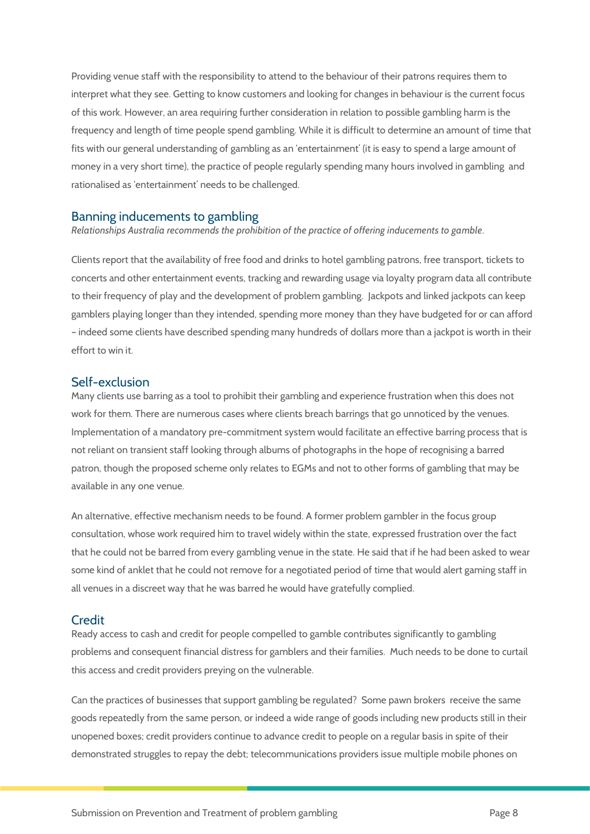Providing venue staff with the responsibility to attend to the behaviour of their patrons requires them to interpret what they see. Getting to know customers and looking for changes in behaviour is the current focus of this work. However, an area requiring further consideration in relation to possible gambling harm is the frequency and length of time people spend gambling. While it is difficult to determine an amount of time that fits with our general understanding of gambling as an 'entertainment' (it is easy to spend a large amount of money in a very short time), the practice of people regularly spending many hours involved in gambling and rationalised as 'entertainment' needs to be challenged.

### Banning inducements to gambling

*Relationships Australia recommends the prohibition of the practice of offering inducements to gamble*.

Clients report that the availability of free food and drinks to hotel gambling patrons, free transport, tickets to concerts and other entertainment events, tracking and rewarding usage via loyalty program data all contribute to their frequency of play and the development of problem gambling. Jackpots and linked jackpots can keep gamblers playing longer than they intended, spending more money than they have budgeted for or can afford – indeed some clients have described spending many hundreds of dollars more than a jackpot is worth in their effort to win it.

### Self-exclusion

Many clients use barring as a tool to prohibit their gambling and experience frustration when this does not work for them. There are numerous cases where clients breach barrings that go unnoticed by the venues. Implementation of a mandatory pre-commitment system would facilitate an effective barring process that is not reliant on transient staff looking through albums of photographs in the hope of recognising a barred patron, though the proposed scheme only relates to EGMs and not to other forms of gambling that may be available in any one venue.

An alternative, effective mechanism needs to be found. A former problem gambler in the focus group consultation, whose work required him to travel widely within the state, expressed frustration over the fact that he could not be barred from every gambling venue in the state. He said that if he had been asked to wear some kind of anklet that he could not remove for a negotiated period of time that would alert gaming staff in all venues in a discreet way that he was barred he would have gratefully complied.

### **Credit**

Ready access to cash and credit for people compelled to gamble contributes significantly to gambling problems and consequent financial distress for gamblers and their families. Much needs to be done to curtail this access and credit providers preying on the vulnerable.

Can the practices of businesses that support gambling be regulated? Some pawn brokers receive the same goods repeatedly from the same person, or indeed a wide range of goods including new products still in their unopened boxes; credit providers continue to advance credit to people on a regular basis in spite of their demonstrated struggles to repay the debt; telecommunications providers issue multiple mobile phones on